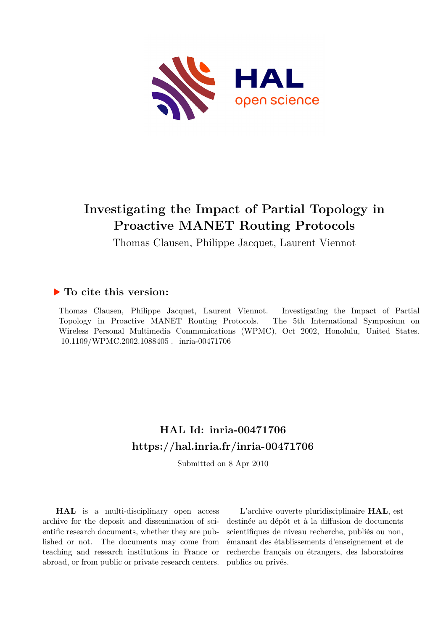

# **Investigating the Impact of Partial Topology in Proactive MANET Routing Protocols**

Thomas Clausen, Philippe Jacquet, Laurent Viennot

### **To cite this version:**

Thomas Clausen, Philippe Jacquet, Laurent Viennot. Investigating the Impact of Partial Topology in Proactive MANET Routing Protocols. The 5th International Symposium on Wireless Personal Multimedia Communications (WPMC), Oct 2002, Honolulu, United States. 10.1109/WPMC.2002.1088405. inria-00471706

## **HAL Id: inria-00471706 <https://hal.inria.fr/inria-00471706>**

Submitted on 8 Apr 2010

**HAL** is a multi-disciplinary open access archive for the deposit and dissemination of scientific research documents, whether they are published or not. The documents may come from teaching and research institutions in France or abroad, or from public or private research centers.

L'archive ouverte pluridisciplinaire **HAL**, est destinée au dépôt et à la diffusion de documents scientifiques de niveau recherche, publiés ou non, émanant des établissements d'enseignement et de recherche français ou étrangers, des laboratoires publics ou privés.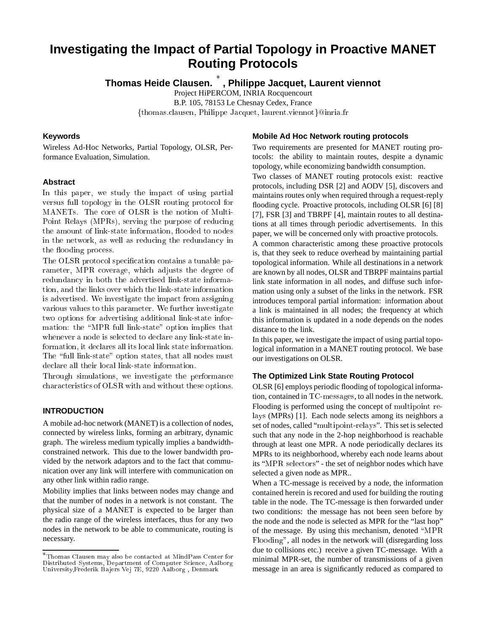### **Investigating the Impact of Partial Topology in Proactive MANET Routing Protocols**

**Thomas Heide Clausen. , Philippe Jacquet, Laurent viennot**

Project HiPERCOM, INRIA Rocquencourt

B.P. 105, 78153 Le Chesnay Cedex, France

{thomas.clausen, Philippe Jacquet, laurent.viennot}@inria.fr

#### **Keywords**

Wireless Ad-Hoc Networks, Partial Topology, OLSR, Performance Evaluation, Simulation.

#### **Abstract**

In this paper, we study the impact of using partial versus full topology in the OLSR routing proto
ol for MANETs. The ore of OLSR is the notion of Multi-Point Relays (MPRs), serving the purpose of redu
ing the amount of link-state information, flooded to nodes in the network, as well as reducing the redundancy in the flooding process.

The OLSR protocol specification contains a tunable parameter, MPR overage, whi
h adjusts the degree of redundan
y in both the advertised link-state information, and the links over which the link-state information is advertised. We investigate the impa
t from assigning various values to this parameter. We further investigate two options for advertising additional link-state information: the "MPR full link-state" option implies that whenever a node is selected to declare any link-state information, it de
lares all its lo
al link state information. The "full link-state" option states, that all nodes must de
lare all their lo
al link-state information.

Through simulations, we investigate the performan
e hara
teristi
s of OLSR with and without these options.

#### **INTRODUCTION**

A mobile ad-hoc network (MANET) is a collection of nodes, connected by wireless links, forming an arbitrary, dynamic graph. The wireless medium typically implies a bandwidthconstrained network. This due to the lower bandwidth provided by the network adaptors and to the fact that communication over any link will interfere with communication on any other link within radio range.

Mobility implies that links between nodes may change and that the number of nodes in a network is not constant. The physical size of a MANET is expected to be larger than the radio range of the wireless interfaces, thus for any two nodes in the network to be able to communicate, routing is necessary.

#### **Mobile Ad Hoc Network routing protocols**

Two requirements are presented for MANET routing protocols: the ability to maintain routes, despite a dynamic topology, while economizing bandwidth consumption.

Two classes of MANET routing protocols exist: reactive protocols, including DSR [2] and AODV [5], discovers and maintains routes only when required through a request-reply flooding cycle. Proactive protocols, including OLSR [6] [8] [7], FSR [3] and TBRPF [4], maintain routes to all destinations at all times through periodic advertisements. In this paper, we will be concerned only with proactive protocols.

A common characteristic among these proactive protocols is, that they seek to reduce overhead by maintaining partial topological information. While all destinations in a network are known by all nodes, OLSR and TBRPF maintains partial link state information in all nodes, and diffuse such information using only a subset of the links in the network. FSR introduces temporal partial information: information about a link is maintained in all nodes; the frequency at which this information is updated in a node depends on the nodes distance to the link.

In this paper, we investigate the impact of using partial topological information in a MANET routing protocol. We base our investigations on OLSR.

#### **The Optimized Link State Routing Protocol**

OLSR [6] employs periodic flooding of topological information, contained in TC-messages, to all nodes in the network. Flooding is performed using the concept of multipoint relays (MPRs) [1]. Each node selects among its neighbors a set of nodes, called "multipoint-relays". This set is selected such that any node in the 2-hop neighborhood is reachable through at least one MPR. A node periodically declares its MPRs to its neighborhood, whereby each node learns about its "MPR sele
tors" - the set of neighbor nodes which have selected a given node as MPR..

When a TC-message is received by a node, the information contained herein is recored and used for building the routing table in the node. The TC-message is then forwarded under two conditions: the message has not been seen before by the node and the node is selected as MPR for the "last hop" of the message. By using this mechanism, denoted \MPR Flooding", all nodes in the network will (disregarding loss due to collisions etc.) receive a given TC-message. With a minimal MPR-set, the number of transmissions of a given message in an area is significantly reduced as compared to

Thomas Clausen may also be onta
ted at MindPass Center for Distributed Systems, Department of Computer S
ien
e, Aalborg University,Frederik Ba jers Vej 7E, 9220 Aalborg , Denmark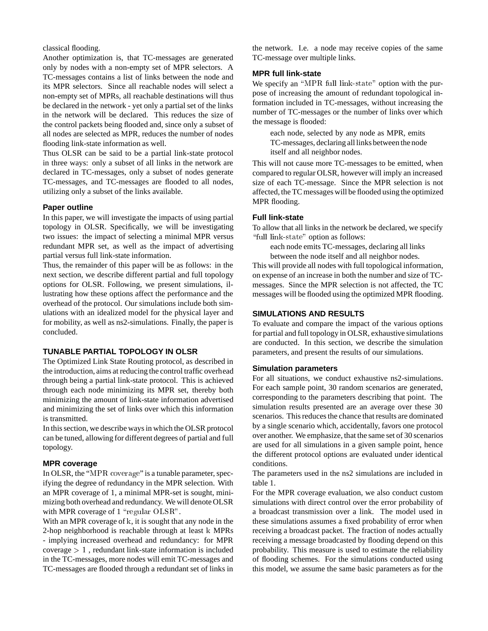classical flooding.

Another optimization is, that TC-messages are generated only by nodes with a non-empty set of MPR selectors. A TC-messages contains a list of links between the node and its MPR selectors. Since all reachable nodes will select a non-empty set of MPRs, all reachable destinations will thus be declared in the network - yet only a partial set of the links in the network will be declared. This reduces the size of the control packets being flooded and, since only a subset of all nodes are selected as MPR, reduces the number of nodes flooding link-state information as well.

Thus OLSR can be said to be a partial link-state protocol in three ways: only a subset of all links in the network are declared in TC-messages, only a subset of nodes generate TC-messages, and TC-messages are flooded to all nodes, utilizing only a subset of the links available.

#### **Paper outline**

In this paper, we will investigate the impacts of using partial topology in OLSR. Specifically, we will be investigating two issues: the impact of selecting a minimal MPR versus redundant MPR set, as well as the impact of advertising partial versus full link-state information.

Thus, the remainder of this paper will be as follows: in the next section, we describe different partial and full topology options for OLSR. Following, we present simulations, illustrating how these options affect the performance and the overhead of the protocol. Our simulations include both simulations with an idealized model for the physical layer and for mobility, as well as ns2-simulations. Finally, the paper is concluded.

#### **TUNABLE PARTIAL TOPOLOGY IN OLSR**

The Optimized Link State Routing protocol, as described in the introduction, aims at reducing the control traffic overhead through being a partial link-state protocol. This is achieved through each node minimizing its MPR set, thereby both minimizing the amount of link-state information advertised and minimizing the set of links over which this information is transmitted.

In this section, we describe ways in which the OLSR protocol can be tuned, allowing for different degrees of partial and full topology.

#### **MPR coverage**

In OLSR, the "MPR coverage" is a tunable parameter, specifying the degree of redundancy in the MPR selection. With an MPR coverage of 1, a minimal MPR-set is sought, minimizing both overhead and redundancy. We will denote OLSR with MPR coverage of 1 "regular  $OLSR$ ".

With an MPR coverage of k, it is sought that any node in the 2-hop neighborhood is reachable through at least k MPRs - implying increased overhead and redundancy: for MPR  $coverage > 1$ , redundant link-state information is included in the TC-messages, more nodes will emit TC-messages and TC-messages are flooded through a redundant set of links in the network. I.e. a node may receive copies of the same TC-message over multiple links.

#### **MPR full link-state**

We specify an "MPR full link-state" option with the purpose of increasing the amount of redundant topological information included in TC-messages, without increasing the number of TC-messages or the number of links over which the message is flooded:

each node, selected by any node as MPR, emits TC-messages, declaring all links between the node itself and all neighbor nodes.

This will not cause more TC-messages to be emitted, when compared to regular OLSR, however will imply an increased size of each TC-message. Since the MPR selection is not affected, the TC messages will be flooded using the optimized MPR flooding.

#### **Full link-state**

To allow that all links in the network be declared, we specify "full link-state" option as follows:

each node emits TC-messages, declaring all links between the node itself and all neighbor nodes.

This will provide all nodes with full topological information, on expense of an increase in both the number and size of TCmessages. Since the MPR selection is not affected, the TC messages will be flooded using the optimized MPR flooding.

#### **SIMULATIONS AND RESULTS**

To evaluate and compare the impact of the various options for partial and full topology in OLSR, exhaustive simulations are conducted. In this section, we describe the simulation parameters, and present the results of our simulations.

#### **Simulation parameters**

For all situations, we conduct exhaustive ns2-simulations. For each sample point, 30 random scenarios are generated, corresponding to the parameters describing that point. The simulation results presented are an average over these 30 scenarios. This reduces the chance that results are dominated by a single scenario which, accidentally, favors one protocol over another. We emphasize, that the same set of 30 scenarios are used for all simulations in a given sample point, hence the different protocol options are evaluated under identical conditions.

The parameters used in the ns2 simulations are included in table 1.

For the MPR coverage evaluation, we also conduct custom simulations with direct control over the error probability of a broadcast transmission over a link. The model used in these simulations assumes a fixed probability of error when receiving a broadcast packet. The fraction of nodes actually receiving a message broadcasted by flooding depend on this probability. This measure is used to estimate the reliability of flooding schemes. For the simulations conducted using this model, we assume the same basic parameters as for the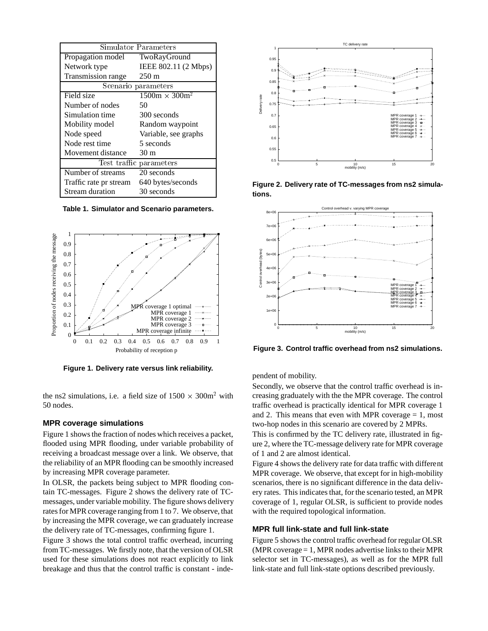| Simulator Parameters    |                       |
|-------------------------|-----------------------|
| Propagation model       | TwoRayGround          |
| Network type            | IEEE 802.11 (2 Mbps)  |
| Transmission range      | $250 \text{ m}$       |
| Scenario parameters     |                       |
| Field size              | $1500m \times 300m^2$ |
| Number of nodes         | 50                    |
| Simulation time         | 300 seconds           |
| Mobility model          | Random waypoint       |
| Node speed              | Variable, see graphs  |
| Node rest time          | 5 seconds             |
| Movement distance       | 30 m                  |
| Test traffic parameters |                       |
| Number of streams       | 20 seconds            |
| Traffic rate pr stream  | 640 bytes/seconds     |
| Stream duration         | 30 seconds            |

**Table 1. Simulator and Scenario parameters.**



**Figure 1. Delivery rate versus link reliability.**

the ns2 simulations, i.e. a field size of  $1500 \times 300 \text{m}^2$  with 50 nodes.

#### **MPR coverage simulations**

Figure 1 shows the fraction of nodes which receives a packet, flooded using MPR flooding, under variable probability of receiving a broadcast message over a link. We observe, that the reliability of an MPR flooding can be smoothly increased by increasing MPR coverage parameter.

In OLSR, the packets being subject to MPR flooding contain TC-messages. Figure 2 shows the delivery rate of TCmessages, under variable mobility. The figure shows delivery rates for MPR coverage ranging from 1 to 7. We observe, that by increasing the MPR coverage, we can graduately increase the delivery rate of TC-messages, confirming figure 1.

Figure 3 shows the total control traffic overhead, incurring from TC-messages. We firstly note, that the version of OLSR used for these simulations does not react explicitly to link breakage and thus that the control traffic is constant - inde-



**Figure 2. Delivery rate of TC-messages from ns2 simulations.**



**Figure 3. Control traffic overhead from ns2 simulations.**

pendent of mobility.

Secondly, we observe that the control traffic overhead is increasing graduately with the the MPR coverage. The control traffic overhead is practically identical for MPR coverage 1 and 2. This means that even with MPR coverage  $= 1$ , most two-hop nodes in this scenario are covered by 2 MPRs.

This is confirmed by the TC delivery rate, illustrated in figure 2, where the TC-message delivery rate for MPR coverage of 1 and 2 are almost identical.

Figure 4 shows the delivery rate for data traffic with different MPR coverage. We observe, that except for in high-mobility scenarios, there is no significant difference in the data delivery rates. This indicates that, for the scenario tested, an MPR coverage of 1, regular OLSR, is sufficient to provide nodes with the required topological information.

#### **MPR full link-state and full link-state**

Figure 5 shows the control traffic overhead for regular OLSR (MPR coverage = 1, MPR nodes advertise links to their MPR selector set in TC-messages), as well as for the MPR full link-state and full link-state options described previously.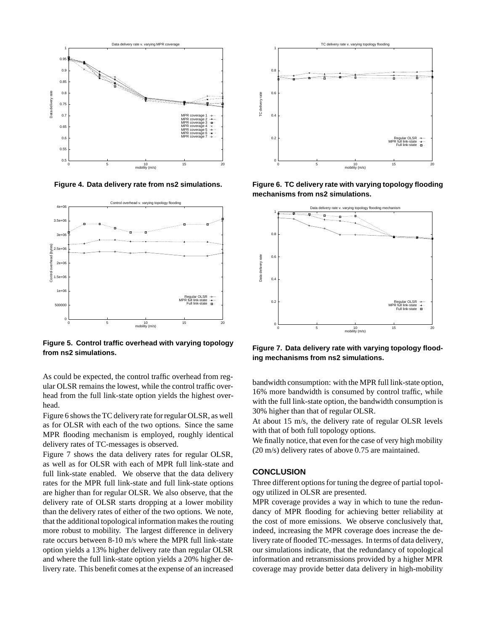

**Figure 4. Data delivery rate from ns2 simulations.**



**Figure 5. Control traffic overhead with varying topology from ns2 simulations.**

As could be expected, the control traffic overhead from regular OLSR remains the lowest, while the control traffic overhead from the full link-state option yields the highest overhead.

Figure 6 shows the TC delivery rate for regular OLSR, as well as for OLSR with each of the two options. Since the same MPR flooding mechanism is employed, roughly identical delivery rates of TC-messages is observed.

Figure 7 shows the data delivery rates for regular OLSR, as well as for OLSR with each of MPR full link-state and full link-state enabled. We observe that the data delivery rates for the MPR full link-state and full link-state options are higher than for regular OLSR. We also observe, that the delivery rate of OLSR starts dropping at a lower mobility than the delivery rates of either of the two options. We note, that the additional topological information makes the routing more robust to mobility. The largest difference in delivery rate occurs between 8-10 m/s where the MPR full link-state option yields a 13% higher delivery rate than regular OLSR and where the full link-state option yields a 20% higher delivery rate. This benefit comes at the expense of an increased



**Figure 6. TC delivery rate with varying topology flooding mechanisms from ns2 simulations.**



**Figure 7. Data delivery rate with varying topology flooding mechanisms from ns2 simulations.**

bandwidth consumption: with the MPR full link-state option, 16% more bandwidth is consumed by control traffic, while with the full link-state option, the bandwidth consumption is 30% higher than that of regular OLSR.

At about 15 m/s, the delivery rate of regular OLSR levels with that of both full topology options.

We finally notice, that even for the case of very high mobility (20 m/s) delivery rates of above 0.75 are maintained.

#### **CONCLUSION**

Three different options for tuning the degree of partial topology utilized in OLSR are presented.

MPR coverage provides a way in which to tune the redundancy of MPR flooding for achieving better reliability at the cost of more emissions. We observe conclusively that, indeed, increasing the MPR coverage does increase the delivery rate of flooded TC-messages. In terms of data delivery, our simulations indicate, that the redundancy of topological information and retransmissions provided by a higher MPR coverage may provide better data delivery in high-mobility